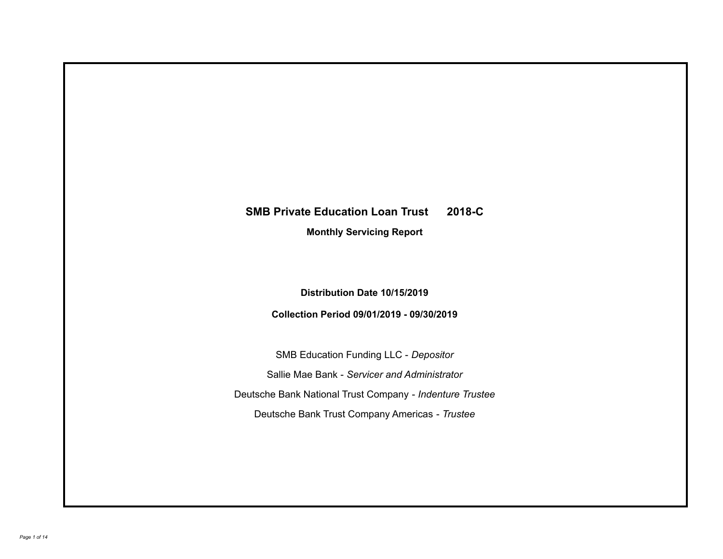# **SMB Private Education Loan Trust 2018-C**

**Monthly Servicing Report**

**Distribution Date 10/15/2019**

**Collection Period 09/01/2019 - 09/30/2019**

SMB Education Funding LLC - *Depositor* Sallie Mae Bank - *Servicer and Administrator* Deutsche Bank National Trust Company - *Indenture Trustee* Deutsche Bank Trust Company Americas - *Trustee*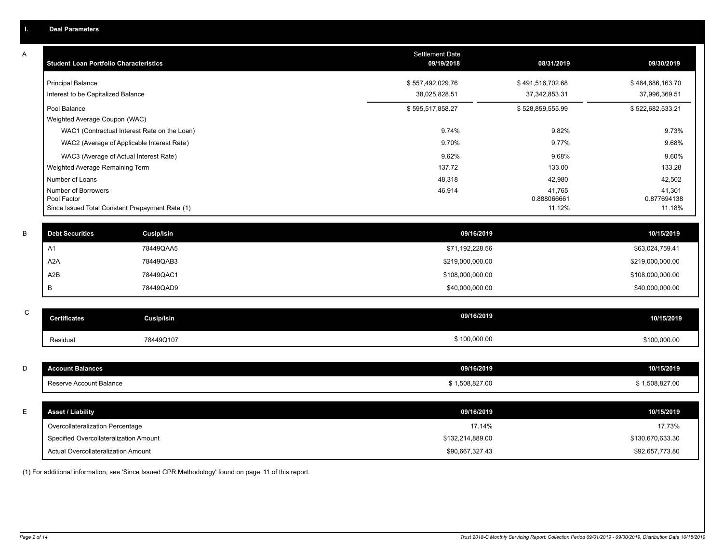| Ъ. | <b>Deal Parameters</b>                        |                                                 |                               |                                 |                                 |
|----|-----------------------------------------------|-------------------------------------------------|-------------------------------|---------------------------------|---------------------------------|
| A  | <b>Student Loan Portfolio Characteristics</b> |                                                 | Settlement Date<br>09/19/2018 | 08/31/2019                      | 09/30/2019                      |
|    | <b>Principal Balance</b>                      |                                                 | \$557,492,029.76              | \$491,516,702.68                | \$484,686,163.70                |
|    | Interest to be Capitalized Balance            |                                                 | 38,025,828.51                 | 37, 342, 853. 31                | 37,996,369.51                   |
|    | Pool Balance                                  |                                                 | \$595,517,858.27              | \$528,859,555.99                | \$522,682,533.21                |
|    | Weighted Average Coupon (WAC)                 |                                                 |                               |                                 |                                 |
|    |                                               | WAC1 (Contractual Interest Rate on the Loan)    | 9.74%                         | 9.82%                           | 9.73%                           |
|    |                                               | WAC2 (Average of Applicable Interest Rate)      | 9.70%                         | 9.77%                           | 9.68%                           |
|    |                                               | WAC3 (Average of Actual Interest Rate)          | 9.62%                         | 9.68%                           | 9.60%                           |
|    | Weighted Average Remaining Term               |                                                 | 137.72                        | 133.00                          | 133.28                          |
|    | Number of Loans                               |                                                 | 48,318                        | 42,980                          | 42,502                          |
|    | Number of Borrowers<br>Pool Factor            | Since Issued Total Constant Prepayment Rate (1) | 46,914                        | 41,765<br>0.888066661<br>11.12% | 41,301<br>0.877694138<br>11.18% |
| В  | <b>Debt Securities</b>                        | <b>Cusip/Isin</b>                               | 09/16/2019                    |                                 | 10/15/2019                      |
|    | A1                                            | 78449QAA5                                       | \$71,192,228.56               |                                 | \$63,024,759.41                 |
|    | A2A                                           | 78449QAB3                                       | \$219,000,000.00              |                                 | \$219,000,000.00                |
|    | A <sub>2</sub> B                              | 78449QAC1                                       | \$108,000,000.00              |                                 | \$108,000,000.00                |
|    | B                                             | 78449QAD9                                       | \$40,000,000.00               |                                 | \$40,000,000.00                 |
| C  | <b>Certificates</b>                           | <b>Cusip/Isin</b>                               | 09/16/2019                    |                                 | 10/15/2019                      |
|    | Residual                                      | 78449Q107                                       | \$100,000.00                  |                                 | \$100,000.00                    |
| D  | <b>Account Balances</b>                       |                                                 | 09/16/2019                    |                                 | 10/15/2019                      |
|    | Reserve Account Balance                       |                                                 | \$1,508,827.00                |                                 | \$1,508,827.00                  |
| E  | <b>Asset / Liability</b>                      |                                                 | 09/16/2019                    |                                 | 10/15/2019                      |
|    | Overcollateralization Percentage              |                                                 | 17.14%                        |                                 | 17.73%                          |
|    | Specified Overcollateralization Amount        |                                                 | \$132,214,889.00              |                                 | \$130,670,633.30                |
|    | Actual Overcollateralization Amount           |                                                 | \$90,667,327.43               |                                 | \$92,657,773.80                 |
|    |                                               |                                                 |                               |                                 |                                 |

(1) For additional information, see 'Since Issued CPR Methodology' found on page 11 of this report.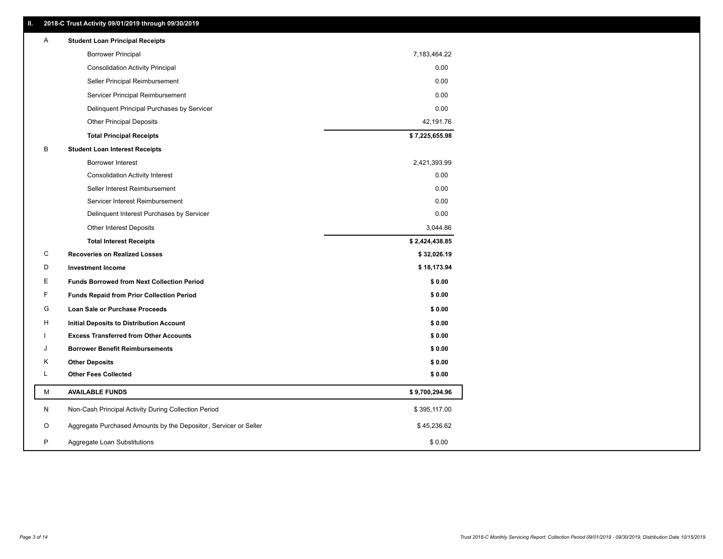| Ш. | 2018-C Trust Activity 09/01/2019 through 09/30/2019              |                |
|----|------------------------------------------------------------------|----------------|
| A  | <b>Student Loan Principal Receipts</b>                           |                |
|    | <b>Borrower Principal</b>                                        | 7,183,464.22   |
|    | <b>Consolidation Activity Principal</b>                          | 0.00           |
|    | Seller Principal Reimbursement                                   | 0.00           |
|    | Servicer Principal Reimbursement                                 | 0.00           |
|    | Delinquent Principal Purchases by Servicer                       | 0.00           |
|    | <b>Other Principal Deposits</b>                                  | 42,191.76      |
|    | <b>Total Principal Receipts</b>                                  | \$7,225,655.98 |
| В  | <b>Student Loan Interest Receipts</b>                            |                |
|    | <b>Borrower Interest</b>                                         | 2,421,393.99   |
|    | <b>Consolidation Activity Interest</b>                           | 0.00           |
|    | Seller Interest Reimbursement                                    | 0.00           |
|    | Servicer Interest Reimbursement                                  | 0.00           |
|    | Delinquent Interest Purchases by Servicer                        | 0.00           |
|    | <b>Other Interest Deposits</b>                                   | 3,044.86       |
|    | <b>Total Interest Receipts</b>                                   | \$2,424,438.85 |
| С  | <b>Recoveries on Realized Losses</b>                             | \$32,026.19    |
| D  | <b>Investment Income</b>                                         | \$18,173.94    |
| Е  | <b>Funds Borrowed from Next Collection Period</b>                | \$0.00         |
| F  | <b>Funds Repaid from Prior Collection Period</b>                 | \$0.00         |
| G  | Loan Sale or Purchase Proceeds                                   | \$0.00         |
| н  | Initial Deposits to Distribution Account                         | \$0.00         |
| L  | <b>Excess Transferred from Other Accounts</b>                    | \$0.00         |
| J  | <b>Borrower Benefit Reimbursements</b>                           | \$0.00         |
| Κ  | <b>Other Deposits</b>                                            | \$0.00         |
| Г  | <b>Other Fees Collected</b>                                      | \$0.00         |
| М  | <b>AVAILABLE FUNDS</b>                                           | \$9,700,294.96 |
| N  | Non-Cash Principal Activity During Collection Period             | \$395,117.00   |
| O  | Aggregate Purchased Amounts by the Depositor, Servicer or Seller | \$45,236.62    |
|    |                                                                  |                |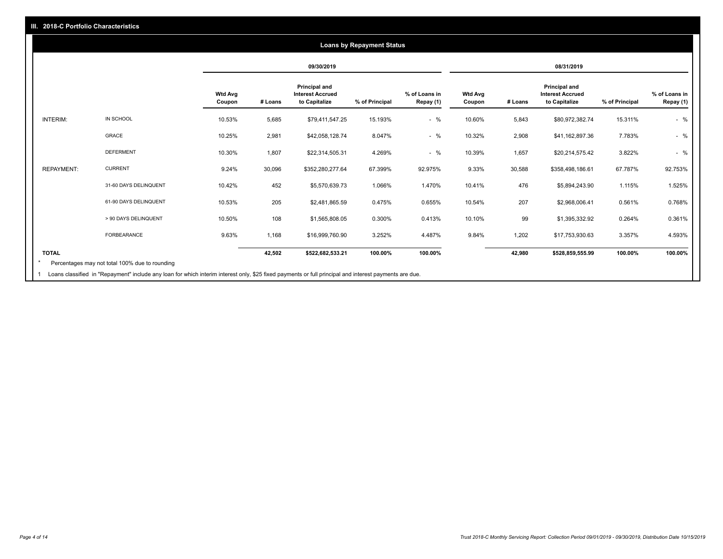#### **09/30/2019 08/31/2019 Wtd Avg Coupon # Loans Principal and Interest Accrued to Capitalize % of Principal % of Loans in Repay (1) Wtd Avg Coupon # Loans Principal and Interest Accrued to Capitalize % of Principal % of Loans in Repay (1)**  INTERIM: IN SCHOOL 10.53% 5,685 \$79,411,547.25 15.193% - % 10.60% 5,843 \$80,972,382.74 15.311% - % GRACE 10.25% 2,981 \$42,058,128.74 8.047% - % 10.32% 2,908 \$41,162,897.36 7.783% - % DEFERMENT 10.30% 1,807 \$22,314,505.31 4.269% - % 10.39% 1,657 \$20,214,575.42 3.822% - % REPAYMENT: CURRENT 9.24% 30,096 \$352,280,277.64 67.399% 92.975% 9.33% 30,588 \$358,498,186.61 67.787% 92.753% 31-60 DAYS DELINQUENT 10.42% 452 \$5,570,639.73 1.066% 1.470% 10.41% 476 \$5,894,243.90 1.115% 1.525% 61-90 DAYS DELINQUENT 10.53% 205 \$2,481,865.59 0.475% 0.655% 10.54% 207 \$2,968,006.41 0.561% 0.768% > 90 DAYS DELINQUENT 10.50% 108 \$1,565,808.05 0.300% 0.413% 10.10% 99 \$1,395,332.92 0.264% 0.361% FORBEARANCE 9.63% 1,168 \$16,999,760.90 3.252% 4.487% 9.84% 1,202 \$17,753,930.63 3.357% 4.593% **TOTAL 42,502 \$522,682,533.21 100.00% 100.00% 42,980 \$528,859,555.99 100.00% 100.00% Loans by Repayment Status** Percentages may not total 100% due to rounding \*

1 Loans classified in "Repayment" include any loan for which interim interest only, \$25 fixed payments or full principal and interest payments are due.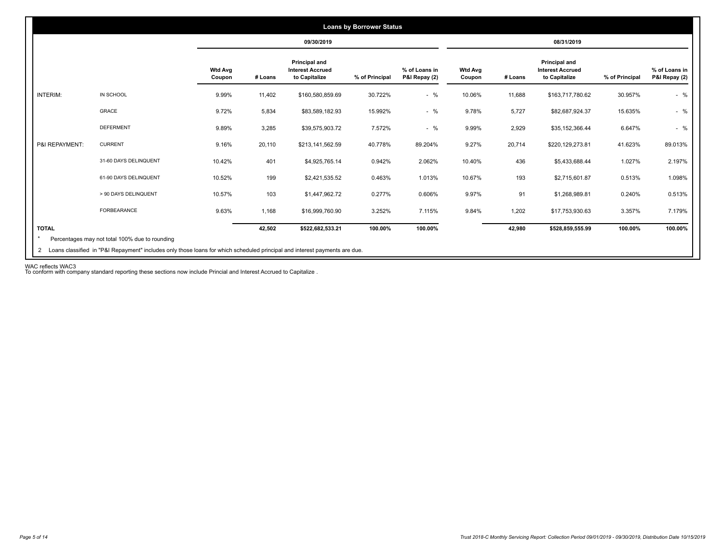|                 |                       |                          |         | 09/30/2019                                                |                |                                |                          |         | 08/31/2019                                                |                |                                |
|-----------------|-----------------------|--------------------------|---------|-----------------------------------------------------------|----------------|--------------------------------|--------------------------|---------|-----------------------------------------------------------|----------------|--------------------------------|
|                 |                       | <b>Wtd Avg</b><br>Coupon | # Loans | Principal and<br><b>Interest Accrued</b><br>to Capitalize | % of Principal | % of Loans in<br>P&I Repay (2) | <b>Wtd Avg</b><br>Coupon | # Loans | Principal and<br><b>Interest Accrued</b><br>to Capitalize | % of Principal | % of Loans in<br>P&I Repay (2) |
| <b>INTERIM:</b> | IN SCHOOL             | 9.99%                    | 11,402  | \$160,580,859.69                                          | 30.722%        | $-$ %                          | 10.06%                   | 11,688  | \$163,717,780.62                                          | 30.957%        | $-$ %                          |
|                 | GRACE                 | 9.72%                    | 5,834   | \$83,589,182.93                                           | 15.992%        | $-$ %                          | 9.78%                    | 5,727   | \$82,687,924.37                                           | 15.635%        | $-$ %                          |
|                 | <b>DEFERMENT</b>      | 9.89%                    | 3,285   | \$39,575,903.72                                           | 7.572%         | $-$ %                          | 9.99%                    | 2,929   | \$35,152,366.44                                           | 6.647%         | $-$ %                          |
| P&I REPAYMENT:  | <b>CURRENT</b>        | 9.16%                    | 20,110  | \$213,141,562.59                                          | 40.778%        | 89.204%                        | 9.27%                    | 20,714  | \$220,129,273.81                                          | 41.623%        | 89.013%                        |
|                 | 31-60 DAYS DELINQUENT | 10.42%                   | 401     | \$4,925,765.14                                            | 0.942%         | 2.062%                         | 10.40%                   | 436     | \$5,433,688.44                                            | 1.027%         | 2.197%                         |
|                 | 61-90 DAYS DELINQUENT | 10.52%                   | 199     | \$2,421,535.52                                            | 0.463%         | 1.013%                         | 10.67%                   | 193     | \$2,715,601.87                                            | 0.513%         | 1.098%                         |
|                 | > 90 DAYS DELINQUENT  | 10.57%                   | 103     | \$1,447,962.72                                            | 0.277%         | 0.606%                         | 9.97%                    | 91      | \$1,268,989.81                                            | 0.240%         | 0.513%                         |
|                 | <b>FORBEARANCE</b>    | 9.63%                    | 1,168   | \$16,999,760.90                                           | 3.252%         | 7.115%                         | 9.84%                    | 1,202   | \$17,753,930.63                                           | 3.357%         | 7.179%                         |
| <b>TOTAL</b>    |                       |                          | 42,502  | \$522,682,533.21                                          | 100.00%        | 100.00%                        |                          | 42,980  | \$528,859,555.99                                          | 100.00%        | 100.00%                        |

WAC reflects WAC3 To conform with company standard reporting these sections now include Princial and Interest Accrued to Capitalize .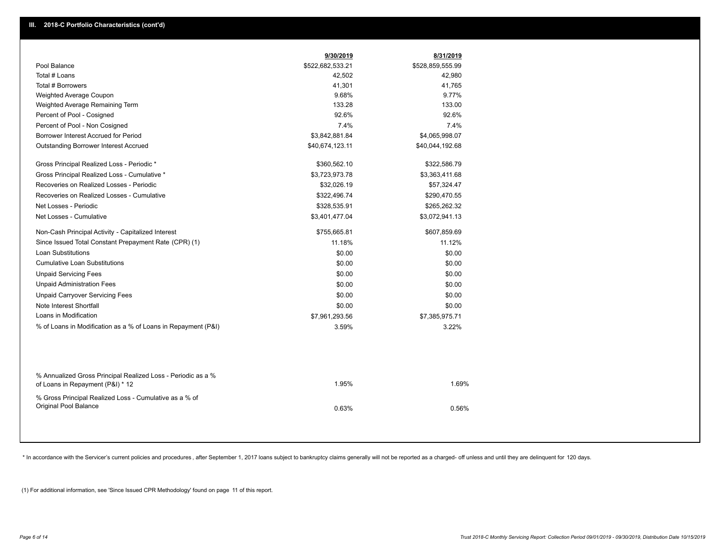|                                                                                                  | 9/30/2019        | 8/31/2019        |
|--------------------------------------------------------------------------------------------------|------------------|------------------|
| Pool Balance                                                                                     | \$522,682,533.21 | \$528,859,555.99 |
| Total # Loans                                                                                    | 42,502           | 42,980           |
| Total # Borrowers                                                                                | 41,301           | 41,765           |
| Weighted Average Coupon                                                                          | 9.68%            | 9.77%            |
| Weighted Average Remaining Term                                                                  | 133.28           | 133.00           |
| Percent of Pool - Cosigned                                                                       | 92.6%            | 92.6%            |
| Percent of Pool - Non Cosigned                                                                   | 7.4%             | 7.4%             |
| Borrower Interest Accrued for Period                                                             | \$3,842,881.84   | \$4,065,998.07   |
| <b>Outstanding Borrower Interest Accrued</b>                                                     | \$40,674,123.11  | \$40,044,192.68  |
| Gross Principal Realized Loss - Periodic *                                                       | \$360,562.10     | \$322,586.79     |
| Gross Principal Realized Loss - Cumulative *                                                     | \$3,723,973.78   | \$3,363,411.68   |
| Recoveries on Realized Losses - Periodic                                                         | \$32,026.19      | \$57,324.47      |
| Recoveries on Realized Losses - Cumulative                                                       | \$322,496.74     | \$290,470.55     |
| Net Losses - Periodic                                                                            | \$328,535.91     | \$265,262.32     |
| Net Losses - Cumulative                                                                          | \$3,401,477.04   | \$3,072,941.13   |
| Non-Cash Principal Activity - Capitalized Interest                                               | \$755,665.81     | \$607,859.69     |
| Since Issued Total Constant Prepayment Rate (CPR) (1)                                            | 11.18%           | 11.12%           |
| <b>Loan Substitutions</b>                                                                        | \$0.00           | \$0.00           |
| <b>Cumulative Loan Substitutions</b>                                                             | \$0.00           | \$0.00           |
| <b>Unpaid Servicing Fees</b>                                                                     | \$0.00           | \$0.00           |
| <b>Unpaid Administration Fees</b>                                                                | \$0.00           | \$0.00           |
| <b>Unpaid Carryover Servicing Fees</b>                                                           | \$0.00           | \$0.00           |
| Note Interest Shortfall                                                                          | \$0.00           | \$0.00           |
| Loans in Modification                                                                            | \$7,961,293.56   | \$7,385,975.71   |
| % of Loans in Modification as a % of Loans in Repayment (P&I)                                    | 3.59%            | 3.22%            |
|                                                                                                  |                  |                  |
| % Annualized Gross Principal Realized Loss - Periodic as a %<br>of Loans in Repayment (P&I) * 12 | 1.95%            | 1.69%            |
| % Gross Principal Realized Loss - Cumulative as a % of<br>Original Pool Balance                  | 0.63%            | 0.56%            |

\* In accordance with the Servicer's current policies and procedures, after September 1, 2017 loans subject to bankruptcy claims generally will not be reported as a charged- off unless and until they are delinquent for 120

(1) For additional information, see 'Since Issued CPR Methodology' found on page 11 of this report.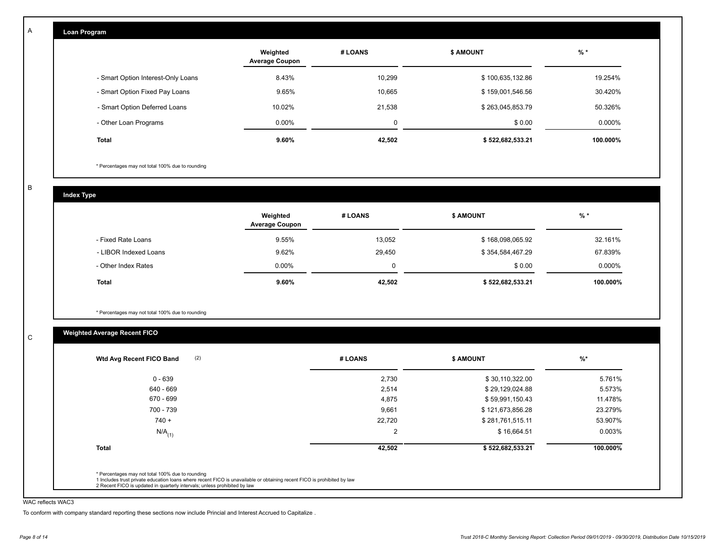| Loan Program                       |                                   |             |                  |           |
|------------------------------------|-----------------------------------|-------------|------------------|-----------|
|                                    | Weighted<br><b>Average Coupon</b> | # LOANS     | <b>\$ AMOUNT</b> | $%$ *     |
| - Smart Option Interest-Only Loans | 8.43%                             | 10,299      | \$100,635,132.86 | 19.254%   |
| - Smart Option Fixed Pay Loans     | 9.65%                             | 10,665      | \$159,001,546.56 | 30.420%   |
| - Smart Option Deferred Loans      | 10.02%                            | 21,538      | \$263,045,853.79 | 50.326%   |
| - Other Loan Programs              | $0.00\%$                          | $\mathbf 0$ | \$0.00           | $0.000\%$ |
| <b>Total</b>                       | 9.60%                             | 42,502      | \$522,682,533.21 | 100.000%  |

\* Percentages may not total 100% due to rounding

B

C

A

**Index Type**

|                       | Weighted<br><b>Average Coupon</b> | # LOANS | <b>S AMOUNT</b>  | $%$ *    |
|-----------------------|-----------------------------------|---------|------------------|----------|
| - Fixed Rate Loans    | 9.55%                             | 13,052  | \$168,098,065.92 | 32.161%  |
| - LIBOR Indexed Loans | 9.62%                             | 29.450  | \$354,584,467.29 | 67.839%  |
| - Other Index Rates   | $0.00\%$                          | 0       | \$0.00           | 0.000%   |
| Total                 | $9.60\%$                          | 42,502  | \$522,682,533.21 | 100.000% |

\* Percentages may not total 100% due to rounding

# **Weighted Average Recent FICO**

| $0 - 639$            | 2,730          | \$30,110,322.00  | 5.761%    |
|----------------------|----------------|------------------|-----------|
| 640 - 669            | 2,514          | \$29,129,024.88  | 5.573%    |
| 670 - 699            | 4,875          | \$59,991,150.43  | 11.478%   |
| 700 - 739            | 9,661          | \$121,673,856.28 | 23.279%   |
| $740 +$              | 22,720         | \$281,761,515.11 | 53.907%   |
| $N/A$ <sub>(1)</sub> | $\overline{2}$ | \$16,664.51      | $0.003\%$ |
| <b>Total</b>         | 42,502         | \$522,682,533.21 | 100.000%  |

#### WAC reflects WAC3

To conform with company standard reporting these sections now include Princial and Interest Accrued to Capitalize .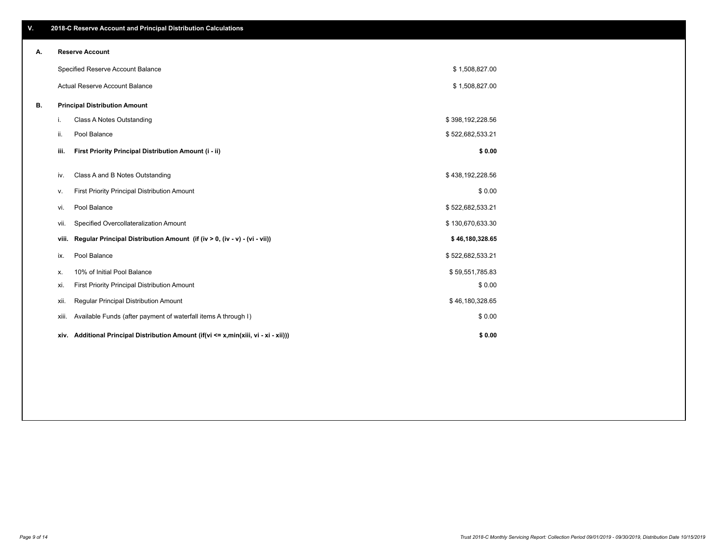|    |       | Specified Reserve Account Balance                                                    | \$1,508,827.00   |  |
|----|-------|--------------------------------------------------------------------------------------|------------------|--|
|    |       | <b>Actual Reserve Account Balance</b>                                                | \$1,508,827.00   |  |
| В. |       | <b>Principal Distribution Amount</b>                                                 |                  |  |
|    | i.    | Class A Notes Outstanding                                                            | \$398,192,228.56 |  |
|    | ii.   | Pool Balance                                                                         | \$522,682,533.21 |  |
|    | iii.  | First Priority Principal Distribution Amount (i - ii)                                | \$0.00           |  |
|    | iv.   | Class A and B Notes Outstanding                                                      | \$438,192,228.56 |  |
|    | v.    | First Priority Principal Distribution Amount                                         | \$0.00           |  |
|    | vi.   | Pool Balance                                                                         | \$522,682,533.21 |  |
|    | vii.  | Specified Overcollateralization Amount                                               | \$130,670,633.30 |  |
|    | viii. | Regular Principal Distribution Amount (if (iv > 0, (iv - v) - (vi - vii))            | \$46,180,328.65  |  |
|    | ix.   | Pool Balance                                                                         | \$522,682,533.21 |  |
|    | Х.    | 10% of Initial Pool Balance                                                          | \$59,551,785.83  |  |
|    | xi.   | First Priority Principal Distribution Amount                                         | \$0.00           |  |
|    | xii.  | Regular Principal Distribution Amount                                                | \$46,180,328.65  |  |
|    | xiii. | Available Funds (after payment of waterfall items A through I)                       | \$0.00           |  |
|    |       | xiv. Additional Principal Distribution Amount (if(vi <= x,min(xiii, vi - xi - xii))) | \$0.00           |  |
|    |       |                                                                                      |                  |  |

**A. Reserve Account**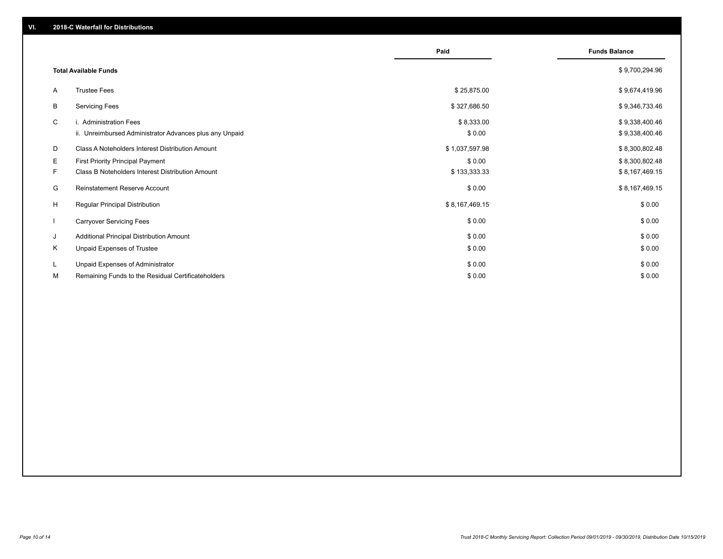|    |                                                                                   | Paid                 | <b>Funds Balance</b>             |
|----|-----------------------------------------------------------------------------------|----------------------|----------------------------------|
|    | <b>Total Available Funds</b>                                                      |                      | \$9,700,294.96                   |
| A  | <b>Trustee Fees</b>                                                               | \$25,875.00          | \$9,674,419.96                   |
| B  | <b>Servicing Fees</b>                                                             | \$327,686.50         | \$9,346,733.46                   |
| C  | i. Administration Fees<br>ii. Unreimbursed Administrator Advances plus any Unpaid | \$8,333.00<br>\$0.00 | \$9,338,400.46<br>\$9,338,400.46 |
| D  | Class A Noteholders Interest Distribution Amount                                  | \$1,037,597.98       | \$8,300,802.48                   |
| E  | <b>First Priority Principal Payment</b>                                           | \$0.00               | \$8,300,802.48                   |
| F  | Class B Noteholders Interest Distribution Amount                                  | \$133,333.33         | \$8,167,469.15                   |
| G  | <b>Reinstatement Reserve Account</b>                                              | \$0.00               | \$8,167,469.15                   |
| H  | Regular Principal Distribution                                                    | \$8,167,469.15       | \$0.00                           |
|    | <b>Carryover Servicing Fees</b>                                                   | \$0.00               | \$0.00                           |
| J  | Additional Principal Distribution Amount                                          | \$0.00               | \$0.00                           |
| K  | Unpaid Expenses of Trustee                                                        | \$0.00               | \$0.00                           |
| L. | Unpaid Expenses of Administrator                                                  | \$0.00               | \$0.00                           |
| М  | Remaining Funds to the Residual Certificateholders                                | \$0.00               | \$0.00                           |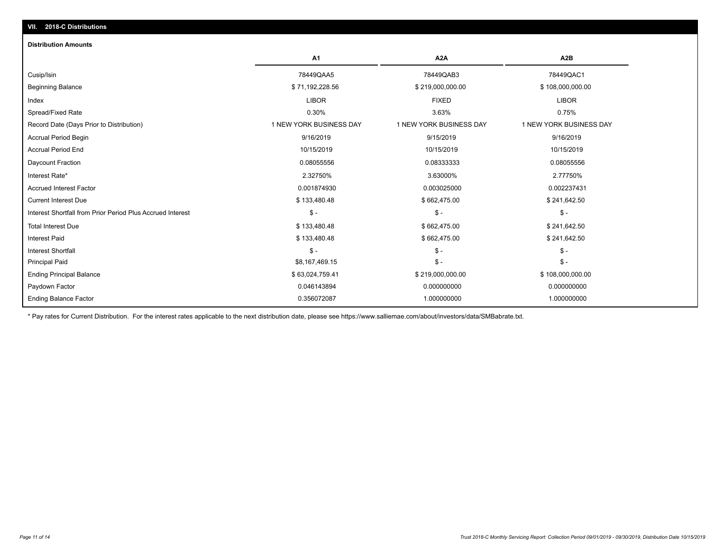# Beginning Balance \$ 71,192,228.56 \$ 219,000,000.00 \$ 108,000,000.00 Cusip/Isin 78449QAA5 78449QAB3 78449QAC1 **A1 A2A A2B Distribution Amounts VII. 2018-C Distributions**

| Index                                                      | <b>LIBOR</b>            | <b>FIXED</b>            | <b>LIBOR</b>            |  |
|------------------------------------------------------------|-------------------------|-------------------------|-------------------------|--|
| Spread/Fixed Rate                                          | 0.30%                   | 3.63%                   | 0.75%                   |  |
| Record Date (Days Prior to Distribution)                   | 1 NEW YORK BUSINESS DAY | 1 NEW YORK BUSINESS DAY | 1 NEW YORK BUSINESS DAY |  |
| Accrual Period Begin                                       | 9/16/2019               | 9/15/2019               | 9/16/2019               |  |
| <b>Accrual Period End</b>                                  | 10/15/2019              | 10/15/2019              | 10/15/2019              |  |
| Daycount Fraction                                          | 0.08055556              | 0.08333333              | 0.08055556              |  |
| Interest Rate*                                             | 2.32750%                | 3.63000%                | 2.77750%                |  |
| Accrued Interest Factor                                    | 0.001874930             | 0.003025000             | 0.002237431             |  |
| <b>Current Interest Due</b>                                | \$133,480.48            | \$662,475.00            | \$241,642.50            |  |
| Interest Shortfall from Prior Period Plus Accrued Interest | $$ -$                   | $$ -$                   | $$ -$                   |  |
| <b>Total Interest Due</b>                                  | \$133,480.48            | \$662,475.00            | \$241,642.50            |  |
| <b>Interest Paid</b>                                       | \$133,480.48            | \$662,475.00            | \$241,642.50            |  |
| <b>Interest Shortfall</b>                                  | $$ -$                   | $$ -$                   | $$ -$                   |  |
| <b>Principal Paid</b>                                      | \$8,167,469.15          | $$ -$                   | $$ -$                   |  |
| <b>Ending Principal Balance</b>                            | \$63,024,759.41         | \$219,000,000.00        | \$108,000,000.00        |  |
| Paydown Factor                                             | 0.046143894             | 0.000000000             | 0.000000000             |  |
| <b>Ending Balance Factor</b>                               | 0.356072087             | 1.000000000             | 1.000000000             |  |
|                                                            |                         |                         |                         |  |

\* Pay rates for Current Distribution. For the interest rates applicable to the next distribution date, please see https://www.salliemae.com/about/investors/data/SMBabrate.txt.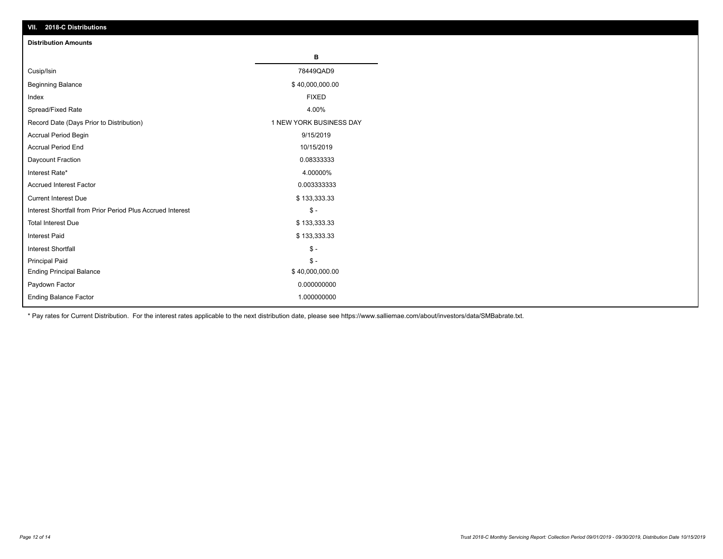| VII. 2018-C Distributions                                  |                         |
|------------------------------------------------------------|-------------------------|
| <b>Distribution Amounts</b>                                |                         |
|                                                            | в                       |
| Cusip/Isin                                                 | 78449QAD9               |
| <b>Beginning Balance</b>                                   | \$40,000,000.00         |
| Index                                                      | <b>FIXED</b>            |
| Spread/Fixed Rate                                          | 4.00%                   |
| Record Date (Days Prior to Distribution)                   | 1 NEW YORK BUSINESS DAY |
| Accrual Period Begin                                       | 9/15/2019               |
| <b>Accrual Period End</b>                                  | 10/15/2019              |
| Daycount Fraction                                          | 0.08333333              |
| Interest Rate*                                             | 4.00000%                |
| <b>Accrued Interest Factor</b>                             | 0.003333333             |
| <b>Current Interest Due</b>                                | \$133,333.33            |
| Interest Shortfall from Prior Period Plus Accrued Interest | $\frac{1}{2}$           |
| <b>Total Interest Due</b>                                  | \$133,333.33            |
| Interest Paid                                              | \$133,333.33            |
| Interest Shortfall                                         | $\mathbb S$ -           |
| <b>Principal Paid</b>                                      | $\frac{1}{2}$           |
| <b>Ending Principal Balance</b>                            | \$40,000,000.00         |
| Paydown Factor                                             | 0.000000000             |
| Ending Balance Factor                                      | 1.000000000             |

\* Pay rates for Current Distribution. For the interest rates applicable to the next distribution date, please see https://www.salliemae.com/about/investors/data/SMBabrate.txt.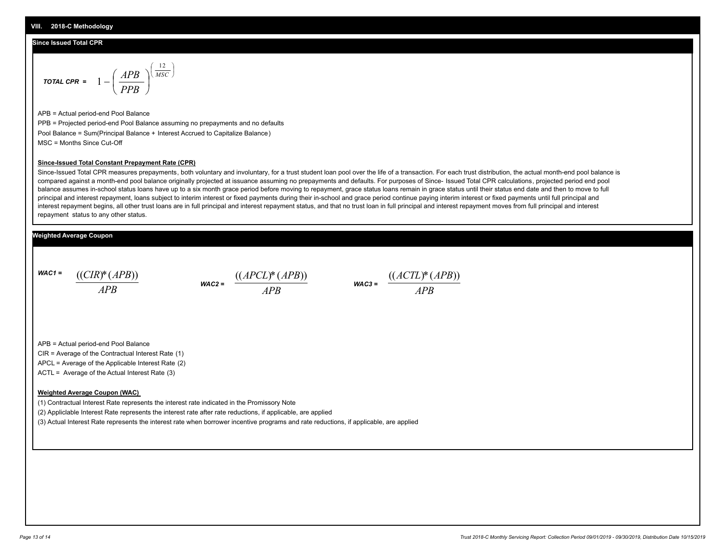## **Since Issued Total CPR**

$$
\text{total CPR} = 1 - \left(\frac{APB}{PPB}\right)^{\left(\frac{12}{MSC}\right)}
$$

APB = Actual period-end Pool Balance PPB = Projected period-end Pool Balance assuming no prepayments and no defaults Pool Balance = Sum(Principal Balance + Interest Accrued to Capitalize Balance) MSC = Months Since Cut-Off

J λ

#### **Since-Issued Total Constant Prepayment Rate (CPR)**

Since-Issued Total CPR measures prepayments, both voluntary and involuntary, for a trust student loan pool over the life of a transaction. For each trust distribution, the actual month-end pool balance is compared against a month-end pool balance originally projected at issuance assuming no prepayments and defaults. For purposes of Since- Issued Total CPR calculations, projected period end pool balance assumes in-school status loans have up to a six month grace period before moving to repayment, grace status loans remain in grace status until their status end date and then to move to full principal and interest repayment, loans subject to interim interest or fixed payments during their in-school and grace period continue paying interim interest or fixed payments until full principal and interest repayment begins, all other trust loans are in full principal and interest repayment status, and that no trust loan in full principal and interest repayment moves from full principal and interest repayment status to any other status.

### **Weighted Average Coupon**

*WAC1 = APB* ((*CIR*)\*(*APB*))

$$
\text{wac2} = \frac{((APCL)^*(APB))}{APB}
$$

$$
\text{WAC3} = \frac{((ACTL)^*(APB))}{APB}
$$

APB = Actual period-end Pool Balance

CIR = Average of the Contractual Interest Rate (1)

APCL = Average of the Applicable Interest Rate (2)

ACTL = Average of the Actual Interest Rate (3)

#### **Weighted Average Coupon (WAC)**

(1) Contractual Interest Rate represents the interest rate indicated in the Promissory Note

(2) Appliclable Interest Rate represents the interest rate after rate reductions, if applicable, are applied

(3) Actual Interest Rate represents the interest rate when borrower incentive programs and rate reductions, if applicable, are applied